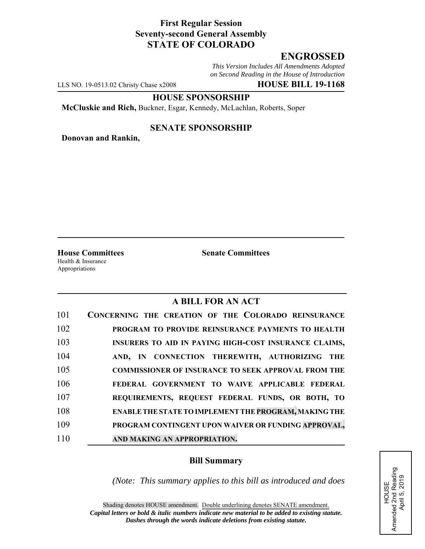## **First Regular Session Seventy-second General Assembly STATE OF COLORADO**

# **ENGROSSED**

*This Version Includes All Amendments Adopted on Second Reading in the House of Introduction*

LLS NO. 19-0513.02 Christy Chase x2008 **HOUSE BILL 19-1168**

**HOUSE SPONSORSHIP**

**McCluskie and Rich,** Buckner, Esgar, Kennedy, McLachlan, Roberts, Soper

### **SENATE SPONSORSHIP**

**Donovan and Rankin,**

**House Committees Senate Committees** Health & Insurance Appropriations

## **A BILL FOR AN ACT**

| 101 | CONCERNING THE CREATION OF THE COLORADO REINSURANCE          |
|-----|--------------------------------------------------------------|
| 102 | PROGRAM TO PROVIDE REINSURANCE PAYMENTS TO HEALTH            |
| 103 | INSURERS TO AID IN PAYING HIGH-COST INSURANCE CLAIMS,        |
| 104 | AND, IN CONNECTION THEREWITH, AUTHORIZING THE                |
| 105 | <b>COMMISSIONER OF INSURANCE TO SEEK APPROVAL FROM THE</b>   |
| 106 | FEDERAL GOVERNMENT TO WAIVE APPLICABLE FEDERAL               |
| 107 | REQUIREMENTS, REQUEST FEDERAL FUNDS, OR BOTH, TO             |
| 108 | <b>ENABLE THE STATE TO IMPLEMENT THE PROGRAM, MAKING THE</b> |
| 109 | PROGRAM CONTINGENT UPON WAIVER OR FUNDING APPROVAL,          |
| 110 | AND MAKING AN APPROPRIATION.                                 |

#### **Bill Summary**

*(Note: This summary applies to this bill as introduced and does*

HOUSE<br>Amended 2nd Reading<br>April 5, 2019 Amended 2nd Reading April 5, 2019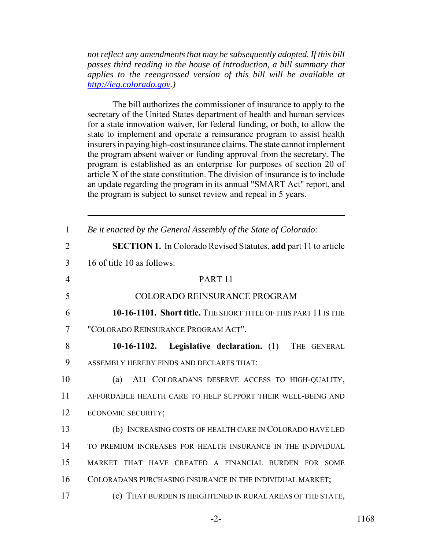*not reflect any amendments that may be subsequently adopted. If this bill passes third reading in the house of introduction, a bill summary that applies to the reengrossed version of this bill will be available at http://leg.colorado.gov.)*

The bill authorizes the commissioner of insurance to apply to the secretary of the United States department of health and human services for a state innovation waiver, for federal funding, or both, to allow the state to implement and operate a reinsurance program to assist health insurers in paying high-cost insurance claims. The state cannot implement the program absent waiver or funding approval from the secretary. The program is established as an enterprise for purposes of section 20 of article X of the state constitution. The division of insurance is to include an update regarding the program in its annual "SMART Act" report, and the program is subject to sunset review and repeal in 5 years.

| $\mathbf{1}$   | Be it enacted by the General Assembly of the State of Colorado:        |
|----------------|------------------------------------------------------------------------|
| $\overline{2}$ | <b>SECTION 1.</b> In Colorado Revised Statutes, add part 11 to article |
| 3              | 16 of title 10 as follows:                                             |
| $\overline{4}$ | PART <sub>11</sub>                                                     |
| 5              | <b>COLORADO REINSURANCE PROGRAM</b>                                    |
| 6              | 10-16-1101. Short title. THE SHORT TITLE OF THIS PART 11 IS THE        |
| $\overline{7}$ | "COLORADO REINSURANCE PROGRAM ACT".                                    |
| 8              | 10-16-1102. Legislative declaration. (1) THE GENERAL                   |
| 9              | ASSEMBLY HEREBY FINDS AND DECLARES THAT:                               |
| 10             | ALL COLORADANS DESERVE ACCESS TO HIGH-QUALITY,<br>(a)                  |
| 11             | AFFORDABLE HEALTH CARE TO HELP SUPPORT THEIR WELL-BEING AND            |
| 12             | ECONOMIC SECURITY;                                                     |
| 13             | (b) INCREASING COSTS OF HEALTH CARE IN COLORADO HAVE LED               |
| 14             | TO PREMIUM INCREASES FOR HEALTH INSURANCE IN THE INDIVIDUAL            |
| 15             | MARKET THAT HAVE CREATED A FINANCIAL BURDEN FOR SOME                   |
| 16             | COLORADANS PURCHASING INSURANCE IN THE INDIVIDUAL MARKET;              |
| 17             | (c) THAT BURDEN IS HEIGHTENED IN RURAL AREAS OF THE STATE,             |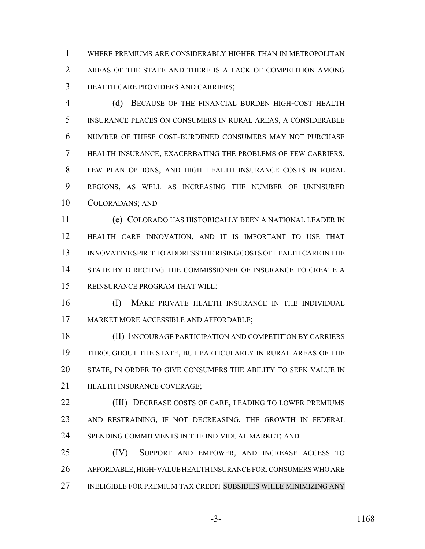WHERE PREMIUMS ARE CONSIDERABLY HIGHER THAN IN METROPOLITAN AREAS OF THE STATE AND THERE IS A LACK OF COMPETITION AMONG HEALTH CARE PROVIDERS AND CARRIERS;

 (d) BECAUSE OF THE FINANCIAL BURDEN HIGH-COST HEALTH INSURANCE PLACES ON CONSUMERS IN RURAL AREAS, A CONSIDERABLE NUMBER OF THESE COST-BURDENED CONSUMERS MAY NOT PURCHASE HEALTH INSURANCE, EXACERBATING THE PROBLEMS OF FEW CARRIERS, FEW PLAN OPTIONS, AND HIGH HEALTH INSURANCE COSTS IN RURAL REGIONS, AS WELL AS INCREASING THE NUMBER OF UNINSURED COLORADANS; AND

 (e) COLORADO HAS HISTORICALLY BEEN A NATIONAL LEADER IN HEALTH CARE INNOVATION, AND IT IS IMPORTANT TO USE THAT INNOVATIVE SPIRIT TO ADDRESS THE RISING COSTS OF HEALTH CARE IN THE STATE BY DIRECTING THE COMMISSIONER OF INSURANCE TO CREATE A REINSURANCE PROGRAM THAT WILL:

 (I) MAKE PRIVATE HEALTH INSURANCE IN THE INDIVIDUAL MARKET MORE ACCESSIBLE AND AFFORDABLE;

 (II) ENCOURAGE PARTICIPATION AND COMPETITION BY CARRIERS THROUGHOUT THE STATE, BUT PARTICULARLY IN RURAL AREAS OF THE STATE, IN ORDER TO GIVE CONSUMERS THE ABILITY TO SEEK VALUE IN HEALTH INSURANCE COVERAGE;

 (III) DECREASE COSTS OF CARE, LEADING TO LOWER PREMIUMS AND RESTRAINING, IF NOT DECREASING, THE GROWTH IN FEDERAL SPENDING COMMITMENTS IN THE INDIVIDUAL MARKET; AND

 (IV) SUPPORT AND EMPOWER, AND INCREASE ACCESS TO AFFORDABLE, HIGH-VALUE HEALTH INSURANCE FOR, CONSUMERS WHO ARE INELIGIBLE FOR PREMIUM TAX CREDIT SUBSIDIES WHILE MINIMIZING ANY

-3- 1168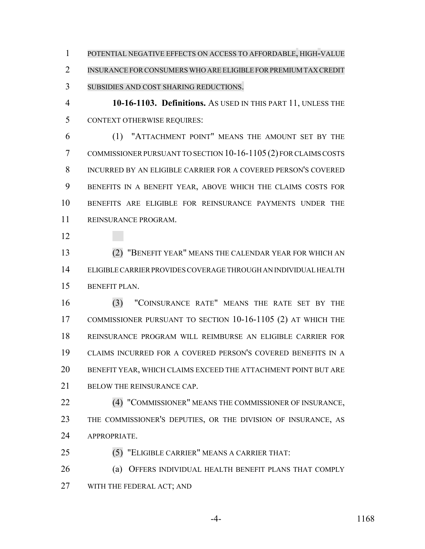POTENTIAL NEGATIVE EFFECTS ON ACCESS TO AFFORDABLE, HIGH-VALUE INSURANCE FORCONSUMERSWHO ARE ELIGIBLE FOR PREMIUM TAX CREDIT SUBSIDIES AND COST SHARING REDUCTIONS.

 **10-16-1103. Definitions.** AS USED IN THIS PART 11, UNLESS THE CONTEXT OTHERWISE REQUIRES:

 (1) "ATTACHMENT POINT" MEANS THE AMOUNT SET BY THE COMMISSIONER PURSUANT TO SECTION 10-16-1105 (2) FOR CLAIMS COSTS INCURRED BY AN ELIGIBLE CARRIER FOR A COVERED PERSON'S COVERED BENEFITS IN A BENEFIT YEAR, ABOVE WHICH THE CLAIMS COSTS FOR BENEFITS ARE ELIGIBLE FOR REINSURANCE PAYMENTS UNDER THE REINSURANCE PROGRAM.

 (2) "BENEFIT YEAR" MEANS THE CALENDAR YEAR FOR WHICH AN ELIGIBLE CARRIER PROVIDES COVERAGE THROUGH AN INDIVIDUAL HEALTH BENEFIT PLAN.

 (3) "COINSURANCE RATE" MEANS THE RATE SET BY THE COMMISSIONER PURSUANT TO SECTION 10-16-1105 (2) AT WHICH THE REINSURANCE PROGRAM WILL REIMBURSE AN ELIGIBLE CARRIER FOR CLAIMS INCURRED FOR A COVERED PERSON'S COVERED BENEFITS IN A BENEFIT YEAR, WHICH CLAIMS EXCEED THE ATTACHMENT POINT BUT ARE BELOW THE REINSURANCE CAP.

 (4) "COMMISSIONER" MEANS THE COMMISSIONER OF INSURANCE, THE COMMISSIONER'S DEPUTIES, OR THE DIVISION OF INSURANCE, AS APPROPRIATE.

(5) "ELIGIBLE CARRIER" MEANS A CARRIER THAT:

 (a) OFFERS INDIVIDUAL HEALTH BENEFIT PLANS THAT COMPLY WITH THE FEDERAL ACT; AND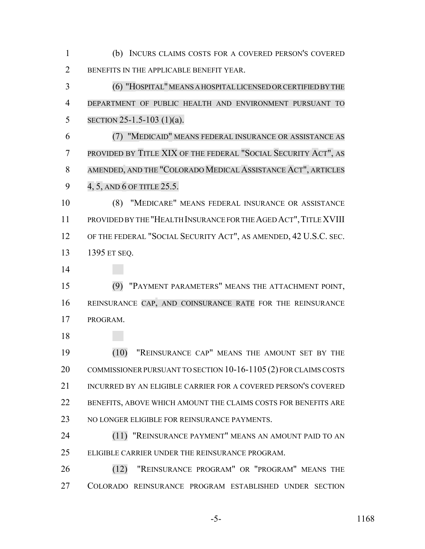(b) INCURS CLAIMS COSTS FOR A COVERED PERSON'S COVERED 2 BENEFITS IN THE APPLICABLE BENEFIT YEAR. (6) "HOSPITAL"MEANSAHOSPITALLICENSEDORCERTIFIED BY THE

 DEPARTMENT OF PUBLIC HEALTH AND ENVIRONMENT PURSUANT TO SECTION 25-1.5-103 (1)(a).

 (7) "MEDICAID" MEANS FEDERAL INSURANCE OR ASSISTANCE AS PROVIDED BY TITLE XIX OF THE FEDERAL "SOCIAL SECURITY ACT", AS AMENDED, AND THE "COLORADO MEDICAL ASSISTANCE ACT", ARTICLES 9 4, 5, AND 6 OF TITLE 25.5.

 (8) "MEDICARE" MEANS FEDERAL INSURANCE OR ASSISTANCE 11 PROVIDED BY THE "HEALTH INSURANCE FOR THE AGED ACT", TITLE XVIII OF THE FEDERAL "SOCIAL SECURITY ACT", AS AMENDED, 42 U.S.C. SEC. 1395 ET SEQ.

 (9) "PAYMENT PARAMETERS" MEANS THE ATTACHMENT POINT, REINSURANCE CAP, AND COINSURANCE RATE FOR THE REINSURANCE PROGRAM.

 (10) "REINSURANCE CAP" MEANS THE AMOUNT SET BY THE 20 COMMISSIONER PURSUANT TO SECTION 10-16-1105 (2) FOR CLAIMS COSTS 21 INCURRED BY AN ELIGIBLE CARRIER FOR A COVERED PERSON'S COVERED BENEFITS, ABOVE WHICH AMOUNT THE CLAIMS COSTS FOR BENEFITS ARE NO LONGER ELIGIBLE FOR REINSURANCE PAYMENTS.

24 (11) "REINSURANCE PAYMENT" MEANS AN AMOUNT PAID TO AN ELIGIBLE CARRIER UNDER THE REINSURANCE PROGRAM.

 (12) "REINSURANCE PROGRAM" OR "PROGRAM" MEANS THE COLORADO REINSURANCE PROGRAM ESTABLISHED UNDER SECTION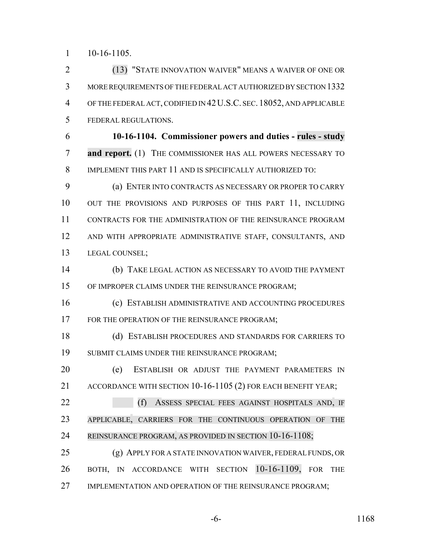$1 \quad 10-16-1105.$ 

 (13) "STATE INNOVATION WAIVER" MEANS A WAIVER OF ONE OR MORE REQUIREMENTS OF THE FEDERAL ACT AUTHORIZED BY SECTION 1332 OF THE FEDERAL ACT, CODIFIED IN 42U.S.C. SEC. 18052, AND APPLICABLE FEDERAL REGULATIONS.

 **10-16-1104. Commissioner powers and duties - rules - study and report.** (1) THE COMMISSIONER HAS ALL POWERS NECESSARY TO IMPLEMENT THIS PART 11 AND IS SPECIFICALLY AUTHORIZED TO:

 (a) ENTER INTO CONTRACTS AS NECESSARY OR PROPER TO CARRY 10 OUT THE PROVISIONS AND PURPOSES OF THIS PART 11, INCLUDING CONTRACTS FOR THE ADMINISTRATION OF THE REINSURANCE PROGRAM AND WITH APPROPRIATE ADMINISTRATIVE STAFF, CONSULTANTS, AND LEGAL COUNSEL;

 (b) TAKE LEGAL ACTION AS NECESSARY TO AVOID THE PAYMENT OF IMPROPER CLAIMS UNDER THE REINSURANCE PROGRAM;

 (c) ESTABLISH ADMINISTRATIVE AND ACCOUNTING PROCEDURES 17 FOR THE OPERATION OF THE REINSURANCE PROGRAM;

 (d) ESTABLISH PROCEDURES AND STANDARDS FOR CARRIERS TO 19 SUBMIT CLAIMS UNDER THE REINSURANCE PROGRAM;

 (e) ESTABLISH OR ADJUST THE PAYMENT PARAMETERS IN ACCORDANCE WITH SECTION 10-16-1105 (2) FOR EACH BENEFIT YEAR;

22 (f) ASSESS SPECIAL FEES AGAINST HOSPITALS AND, IF APPLICABLE, CARRIERS FOR THE CONTINUOUS OPERATION OF THE REINSURANCE PROGRAM, AS PROVIDED IN SECTION 10-16-1108;

 (g) APPLY FOR A STATE INNOVATION WAIVER, FEDERAL FUNDS, OR BOTH, IN ACCORDANCE WITH SECTION 10-16-1109, FOR THE 27 IMPLEMENTATION AND OPERATION OF THE REINSURANCE PROGRAM;

-6- 1168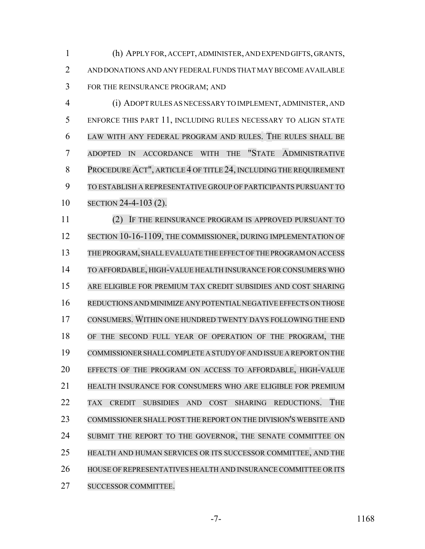(h) APPLY FOR, ACCEPT, ADMINISTER, AND EXPEND GIFTS, GRANTS, AND DONATIONS AND ANY FEDERAL FUNDS THAT MAY BECOME AVAILABLE FOR THE REINSURANCE PROGRAM; AND

 (i) ADOPT RULES AS NECESSARY TO IMPLEMENT, ADMINISTER, AND ENFORCE THIS PART 11, INCLUDING RULES NECESSARY TO ALIGN STATE LAW WITH ANY FEDERAL PROGRAM AND RULES. THE RULES SHALL BE ADOPTED IN ACCORDANCE WITH THE "STATE ADMINISTRATIVE 8 PROCEDURE ACT", ARTICLE 4 OF TITLE 24, INCLUDING THE REQUIREMENT TO ESTABLISH A REPRESENTATIVE GROUP OF PARTICIPANTS PURSUANT TO SECTION 24-4-103 (2).

 (2) IF THE REINSURANCE PROGRAM IS APPROVED PURSUANT TO 12 SECTION 10-16-1109, THE COMMISSIONER, DURING IMPLEMENTATION OF THE PROGRAM, SHALLEVALUATE THE EFFECT OF THE PROGRAM ON ACCESS TO AFFORDABLE, HIGH-VALUE HEALTH INSURANCE FOR CONSUMERS WHO ARE ELIGIBLE FOR PREMIUM TAX CREDIT SUBSIDIES AND COST SHARING REDUCTIONS AND MINIMIZE ANY POTENTIALNEGATIVE EFFECTS ON THOSE CONSUMERS. WITHIN ONE HUNDRED TWENTY DAYS FOLLOWING THE END OF THE SECOND FULL YEAR OF OPERATION OF THE PROGRAM, THE COMMISSIONER SHALL COMPLETE A STUDY OF AND ISSUE A REPORT ON THE EFFECTS OF THE PROGRAM ON ACCESS TO AFFORDABLE, HIGH-VALUE HEALTH INSURANCE FOR CONSUMERS WHO ARE ELIGIBLE FOR PREMIUM TAX CREDIT SUBSIDIES AND COST SHARING REDUCTIONS. THE COMMISSIONER SHALL POST THE REPORT ON THE DIVISION'S WEBSITE AND 24 SUBMIT THE REPORT TO THE GOVERNOR, THE SENATE COMMITTEE ON HEALTH AND HUMAN SERVICES OR ITS SUCCESSOR COMMITTEE, AND THE HOUSE OF REPRESENTATIVES HEALTH AND INSURANCE COMMITTEE OR ITS SUCCESSOR COMMITTEE.

-7- 1168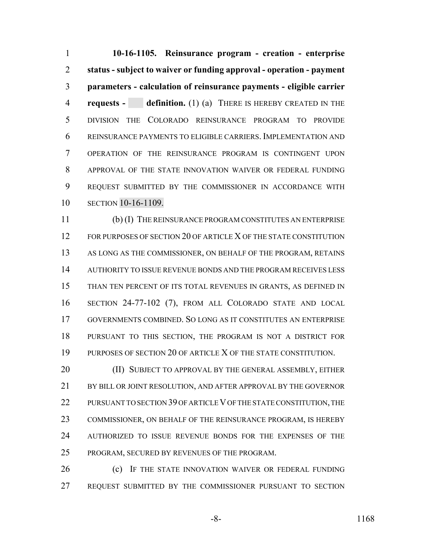**10-16-1105. Reinsurance program - creation - enterprise status - subject to waiver or funding approval - operation - payment parameters - calculation of reinsurance payments - eligible carrier requests - definition.** (1) (a) THERE IS HEREBY CREATED IN THE DIVISION THE COLORADO REINSURANCE PROGRAM TO PROVIDE REINSURANCE PAYMENTS TO ELIGIBLE CARRIERS. IMPLEMENTATION AND OPERATION OF THE REINSURANCE PROGRAM IS CONTINGENT UPON APPROVAL OF THE STATE INNOVATION WAIVER OR FEDERAL FUNDING REQUEST SUBMITTED BY THE COMMISSIONER IN ACCORDANCE WITH SECTION 10-16-1109.

 (b) (I) THE REINSURANCE PROGRAM CONSTITUTES AN ENTERPRISE 12 FOR PURPOSES OF SECTION 20 OF ARTICLE X OF THE STATE CONSTITUTION AS LONG AS THE COMMISSIONER, ON BEHALF OF THE PROGRAM, RETAINS AUTHORITY TO ISSUE REVENUE BONDS AND THE PROGRAM RECEIVES LESS THAN TEN PERCENT OF ITS TOTAL REVENUES IN GRANTS, AS DEFINED IN SECTION 24-77-102 (7), FROM ALL COLORADO STATE AND LOCAL GOVERNMENTS COMBINED. SO LONG AS IT CONSTITUTES AN ENTERPRISE PURSUANT TO THIS SECTION, THE PROGRAM IS NOT A DISTRICT FOR PURPOSES OF SECTION 20 OF ARTICLE X OF THE STATE CONSTITUTION.

**(II) SUBJECT TO APPROVAL BY THE GENERAL ASSEMBLY, EITHER** 21 BY BILL OR JOINT RESOLUTION, AND AFTER APPROVAL BY THE GOVERNOR 22 PURSUANT TO SECTION 39 OF ARTICLE V OF THE STATE CONSTITUTION, THE COMMISSIONER, ON BEHALF OF THE REINSURANCE PROGRAM, IS HEREBY AUTHORIZED TO ISSUE REVENUE BONDS FOR THE EXPENSES OF THE PROGRAM, SECURED BY REVENUES OF THE PROGRAM.

**(c)** IF THE STATE INNOVATION WAIVER OR FEDERAL FUNDING REQUEST SUBMITTED BY THE COMMISSIONER PURSUANT TO SECTION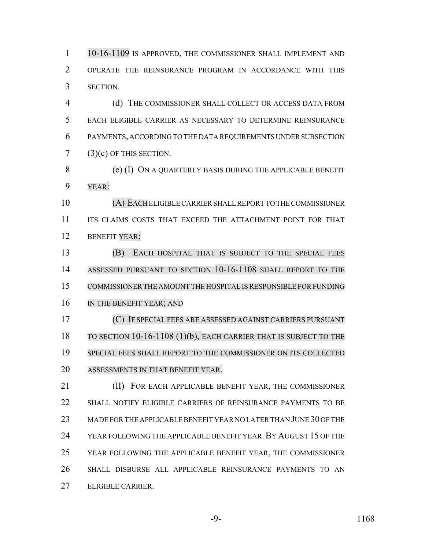10-16-1109 IS APPROVED, THE COMMISSIONER SHALL IMPLEMENT AND OPERATE THE REINSURANCE PROGRAM IN ACCORDANCE WITH THIS SECTION.

 (d) THE COMMISSIONER SHALL COLLECT OR ACCESS DATA FROM EACH ELIGIBLE CARRIER AS NECESSARY TO DETERMINE REINSURANCE PAYMENTS, ACCORDING TO THE DATA REQUIREMENTS UNDER SUBSECTION (3)(c) OF THIS SECTION.

 (e) (I) ON A QUARTERLY BASIS DURING THE APPLICABLE BENEFIT YEAR:

 (A) EACH ELIGIBLE CARRIER SHALL REPORT TO THE COMMISSIONER 11 ITS CLAIMS COSTS THAT EXCEED THE ATTACHMENT POINT FOR THAT BENEFIT YEAR;

 (B) EACH HOSPITAL THAT IS SUBJECT TO THE SPECIAL FEES ASSESSED PURSUANT TO SECTION 10-16-1108 SHALL REPORT TO THE COMMISSIONERTHE AMOUNT THE HOSPITALISRESPONSIBLE FORFUNDING 16 IN THE BENEFIT YEAR; AND

 (C) IF SPECIAL FEES ARE ASSESSED AGAINST CARRIERS PURSUANT TO SECTION 10-16-1108 (1)(b), EACH CARRIER THAT IS SUBJECT TO THE SPECIAL FEES SHALL REPORT TO THE COMMISSIONER ON ITS COLLECTED ASSESSMENTS IN THAT BENEFIT YEAR.

**(II) FOR EACH APPLICABLE BENEFIT YEAR, THE COMMISSIONER**  SHALL NOTIFY ELIGIBLE CARRIERS OF REINSURANCE PAYMENTS TO BE 23 MADE FOR THE APPLICABLE BENEFIT YEAR NO LATER THAN JUNE 30 OF THE YEAR FOLLOWING THE APPLICABLE BENEFIT YEAR.BY AUGUST 15 OF THE YEAR FOLLOWING THE APPLICABLE BENEFIT YEAR, THE COMMISSIONER SHALL DISBURSE ALL APPLICABLE REINSURANCE PAYMENTS TO AN ELIGIBLE CARRIER.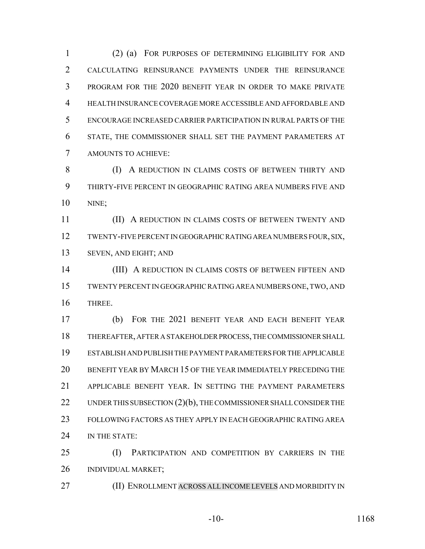(2) (a) FOR PURPOSES OF DETERMINING ELIGIBILITY FOR AND CALCULATING REINSURANCE PAYMENTS UNDER THE REINSURANCE PROGRAM FOR THE 2020 BENEFIT YEAR IN ORDER TO MAKE PRIVATE HEALTH INSURANCE COVERAGE MORE ACCESSIBLE AND AFFORDABLE AND ENCOURAGE INCREASED CARRIER PARTICIPATION IN RURAL PARTS OF THE STATE, THE COMMISSIONER SHALL SET THE PAYMENT PARAMETERS AT AMOUNTS TO ACHIEVE:

 (I) A REDUCTION IN CLAIMS COSTS OF BETWEEN THIRTY AND THIRTY-FIVE PERCENT IN GEOGRAPHIC RATING AREA NUMBERS FIVE AND NINE;

**(II) A REDUCTION IN CLAIMS COSTS OF BETWEEN TWENTY AND**  TWENTY-FIVE PERCENT IN GEOGRAPHIC RATING AREA NUMBERS FOUR, SIX, SEVEN, AND EIGHT; AND

**(III) A REDUCTION IN CLAIMS COSTS OF BETWEEN FIFTEEN AND**  TWENTY PERCENT IN GEOGRAPHIC RATING AREA NUMBERS ONE, TWO, AND THREE.

 (b) FOR THE 2021 BENEFIT YEAR AND EACH BENEFIT YEAR THEREAFTER, AFTER A STAKEHOLDER PROCESS, THE COMMISSIONER SHALL ESTABLISH AND PUBLISH THE PAYMENT PARAMETERS FOR THE APPLICABLE BENEFIT YEAR BY MARCH 15 OF THE YEAR IMMEDIATELY PRECEDING THE APPLICABLE BENEFIT YEAR. IN SETTING THE PAYMENT PARAMETERS 22 UNDER THIS SUBSECTION (2)(b), THE COMMISSIONER SHALL CONSIDER THE FOLLOWING FACTORS AS THEY APPLY IN EACH GEOGRAPHIC RATING AREA 24 IN THE STATE:

 (I) PARTICIPATION AND COMPETITION BY CARRIERS IN THE INDIVIDUAL MARKET;

(II) ENROLLMENT ACROSS ALLINCOME LEVELS AND MORBIDITY IN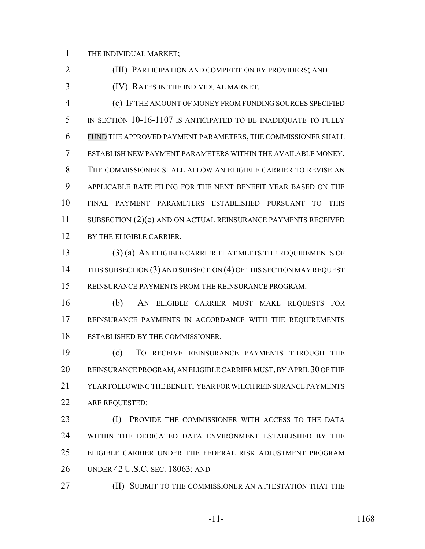THE INDIVIDUAL MARKET;

(III) PARTICIPATION AND COMPETITION BY PROVIDERS; AND

(IV) RATES IN THE INDIVIDUAL MARKET.

 (c) IF THE AMOUNT OF MONEY FROM FUNDING SOURCES SPECIFIED IN SECTION 10-16-1107 IS ANTICIPATED TO BE INADEQUATE TO FULLY FUND THE APPROVED PAYMENT PARAMETERS, THE COMMISSIONER SHALL ESTABLISH NEW PAYMENT PARAMETERS WITHIN THE AVAILABLE MONEY. THE COMMISSIONER SHALL ALLOW AN ELIGIBLE CARRIER TO REVISE AN APPLICABLE RATE FILING FOR THE NEXT BENEFIT YEAR BASED ON THE FINAL PAYMENT PARAMETERS ESTABLISHED PURSUANT TO THIS 11 SUBSECTION (2)(c) AND ON ACTUAL REINSURANCE PAYMENTS RECEIVED 12 BY THE ELIGIBLE CARRIER.

 (3) (a) AN ELIGIBLE CARRIER THAT MEETS THE REQUIREMENTS OF 14 THIS SUBSECTION (3) AND SUBSECTION (4) OF THIS SECTION MAY REQUEST REINSURANCE PAYMENTS FROM THE REINSURANCE PROGRAM.

 (b) AN ELIGIBLE CARRIER MUST MAKE REQUESTS FOR REINSURANCE PAYMENTS IN ACCORDANCE WITH THE REQUIREMENTS ESTABLISHED BY THE COMMISSIONER.

 (c) TO RECEIVE REINSURANCE PAYMENTS THROUGH THE REINSURANCE PROGRAM, AN ELIGIBLE CARRIER MUST, BY APRIL 30 OF THE YEAR FOLLOWING THE BENEFIT YEAR FOR WHICH REINSURANCE PAYMENTS 22 ARE REQUESTED:

 (I) PROVIDE THE COMMISSIONER WITH ACCESS TO THE DATA WITHIN THE DEDICATED DATA ENVIRONMENT ESTABLISHED BY THE ELIGIBLE CARRIER UNDER THE FEDERAL RISK ADJUSTMENT PROGRAM UNDER 42 U.S.C. SEC. 18063; AND

**(II) SUBMIT TO THE COMMISSIONER AN ATTESTATION THAT THE**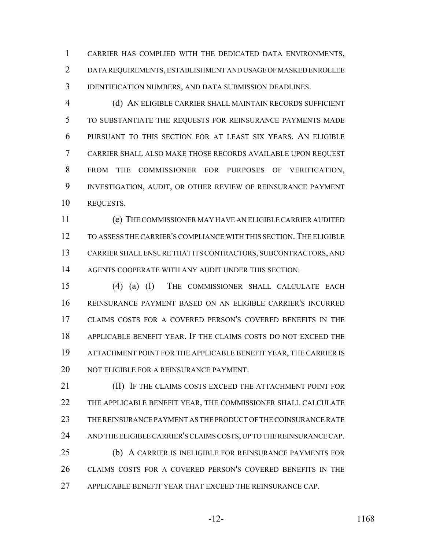CARRIER HAS COMPLIED WITH THE DEDICATED DATA ENVIRONMENTS, DATA REQUIREMENTS, ESTABLISHMENT AND USAGE OF MASKED ENROLLEE IDENTIFICATION NUMBERS, AND DATA SUBMISSION DEADLINES.

 (d) AN ELIGIBLE CARRIER SHALL MAINTAIN RECORDS SUFFICIENT TO SUBSTANTIATE THE REQUESTS FOR REINSURANCE PAYMENTS MADE PURSUANT TO THIS SECTION FOR AT LEAST SIX YEARS. AN ELIGIBLE CARRIER SHALL ALSO MAKE THOSE RECORDS AVAILABLE UPON REQUEST FROM THE COMMISSIONER FOR PURPOSES OF VERIFICATION, INVESTIGATION, AUDIT, OR OTHER REVIEW OF REINSURANCE PAYMENT REQUESTS.

 (e) THE COMMISSIONER MAY HAVE AN ELIGIBLE CARRIER AUDITED TO ASSESS THE CARRIER'S COMPLIANCE WITH THIS SECTION.THE ELIGIBLE CARRIER SHALL ENSURE THAT ITS CONTRACTORS, SUBCONTRACTORS, AND AGENTS COOPERATE WITH ANY AUDIT UNDER THIS SECTION.

 (4) (a) (I) THE COMMISSIONER SHALL CALCULATE EACH REINSURANCE PAYMENT BASED ON AN ELIGIBLE CARRIER'S INCURRED CLAIMS COSTS FOR A COVERED PERSON'S COVERED BENEFITS IN THE APPLICABLE BENEFIT YEAR. IF THE CLAIMS COSTS DO NOT EXCEED THE ATTACHMENT POINT FOR THE APPLICABLE BENEFIT YEAR, THE CARRIER IS 20 NOT ELIGIBLE FOR A REINSURANCE PAYMENT.

**III)** IF THE CLAIMS COSTS EXCEED THE ATTACHMENT POINT FOR THE APPLICABLE BENEFIT YEAR, THE COMMISSIONER SHALL CALCULATE THE REINSURANCE PAYMENT AS THE PRODUCT OF THE COINSURANCE RATE AND THE ELIGIBLE CARRIER'S CLAIMS COSTS, UP TO THE REINSURANCE CAP. (b) A CARRIER IS INELIGIBLE FOR REINSURANCE PAYMENTS FOR CLAIMS COSTS FOR A COVERED PERSON'S COVERED BENEFITS IN THE APPLICABLE BENEFIT YEAR THAT EXCEED THE REINSURANCE CAP.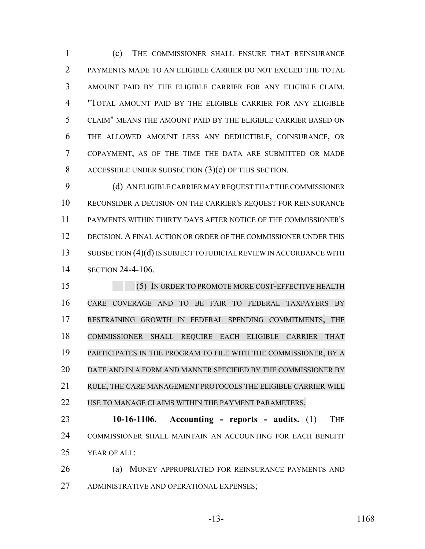(c) THE COMMISSIONER SHALL ENSURE THAT REINSURANCE PAYMENTS MADE TO AN ELIGIBLE CARRIER DO NOT EXCEED THE TOTAL AMOUNT PAID BY THE ELIGIBLE CARRIER FOR ANY ELIGIBLE CLAIM. "TOTAL AMOUNT PAID BY THE ELIGIBLE CARRIER FOR ANY ELIGIBLE CLAIM" MEANS THE AMOUNT PAID BY THE ELIGIBLE CARRIER BASED ON THE ALLOWED AMOUNT LESS ANY DEDUCTIBLE, COINSURANCE, OR COPAYMENT, AS OF THE TIME THE DATA ARE SUBMITTED OR MADE ACCESSIBLE UNDER SUBSECTION (3)(c) OF THIS SECTION.

 (d) AN ELIGIBLE CARRIER MAY REQUEST THAT THE COMMISSIONER RECONSIDER A DECISION ON THE CARRIER'S REQUEST FOR REINSURANCE PAYMENTS WITHIN THIRTY DAYS AFTER NOTICE OF THE COMMISSIONER'S DECISION. A FINAL ACTION OR ORDER OF THE COMMISSIONER UNDER THIS SUBSECTION (4)(d) IS SUBJECT TO JUDICIAL REVIEW IN ACCORDANCE WITH SECTION 24-4-106.

15 (5) IN ORDER TO PROMOTE MORE COST-EFFECTIVE HEALTH CARE COVERAGE AND TO BE FAIR TO FEDERAL TAXPAYERS BY RESTRAINING GROWTH IN FEDERAL SPENDING COMMITMENTS, THE COMMISSIONER SHALL REQUIRE EACH ELIGIBLE CARRIER THAT PARTICIPATES IN THE PROGRAM TO FILE WITH THE COMMISSIONER, BY A DATE AND IN A FORM AND MANNER SPECIFIED BY THE COMMISSIONER BY RULE, THE CARE MANAGEMENT PROTOCOLS THE ELIGIBLE CARRIER WILL 22 USE TO MANAGE CLAIMS WITHIN THE PAYMENT PARAMETERS.

 **10-16-1106. Accounting - reports - audits.** (1) THE COMMISSIONER SHALL MAINTAIN AN ACCOUNTING FOR EACH BENEFIT YEAR OF ALL:

 (a) MONEY APPROPRIATED FOR REINSURANCE PAYMENTS AND ADMINISTRATIVE AND OPERATIONAL EXPENSES;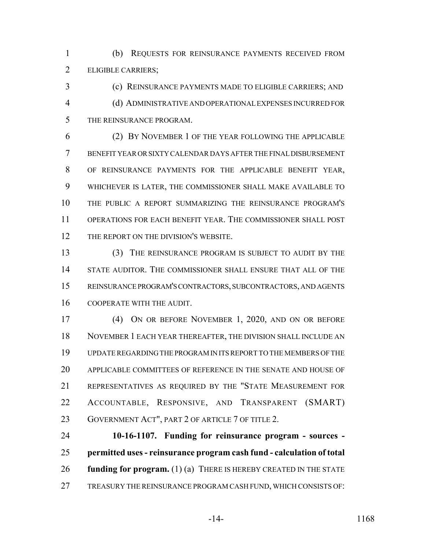(b) REQUESTS FOR REINSURANCE PAYMENTS RECEIVED FROM ELIGIBLE CARRIERS;

 (c) REINSURANCE PAYMENTS MADE TO ELIGIBLE CARRIERS; AND (d) ADMINISTRATIVE AND OPERATIONAL EXPENSES INCURRED FOR THE REINSURANCE PROGRAM.

 (2) BY NOVEMBER 1 OF THE YEAR FOLLOWING THE APPLICABLE BENEFIT YEAR OR SIXTY CALENDAR DAYS AFTER THE FINAL DISBURSEMENT OF REINSURANCE PAYMENTS FOR THE APPLICABLE BENEFIT YEAR, WHICHEVER IS LATER, THE COMMISSIONER SHALL MAKE AVAILABLE TO THE PUBLIC A REPORT SUMMARIZING THE REINSURANCE PROGRAM'S OPERATIONS FOR EACH BENEFIT YEAR. THE COMMISSIONER SHALL POST 12 THE REPORT ON THE DIVISION'S WEBSITE.

 (3) THE REINSURANCE PROGRAM IS SUBJECT TO AUDIT BY THE STATE AUDITOR. THE COMMISSIONER SHALL ENSURE THAT ALL OF THE REINSURANCE PROGRAM'S CONTRACTORS, SUBCONTRACTORS, AND AGENTS COOPERATE WITH THE AUDIT.

 (4) ON OR BEFORE NOVEMBER 1, 2020, AND ON OR BEFORE NOVEMBER 1 EACH YEAR THEREAFTER, THE DIVISION SHALL INCLUDE AN UPDATE REGARDING THE PROGRAM IN ITS REPORT TO THE MEMBERS OF THE APPLICABLE COMMITTEES OF REFERENCE IN THE SENATE AND HOUSE OF REPRESENTATIVES AS REQUIRED BY THE "STATE MEASUREMENT FOR ACCOUNTABLE, RESPONSIVE, AND TRANSPARENT (SMART) 23 GOVERNMENT ACT", PART 2 OF ARTICLE 7 OF TITLE 2.

 **10-16-1107. Funding for reinsurance program - sources - permitted uses - reinsurance program cash fund - calculation of total funding for program.** (1) (a) THERE IS HEREBY CREATED IN THE STATE TREASURY THE REINSURANCE PROGRAM CASH FUND, WHICH CONSISTS OF: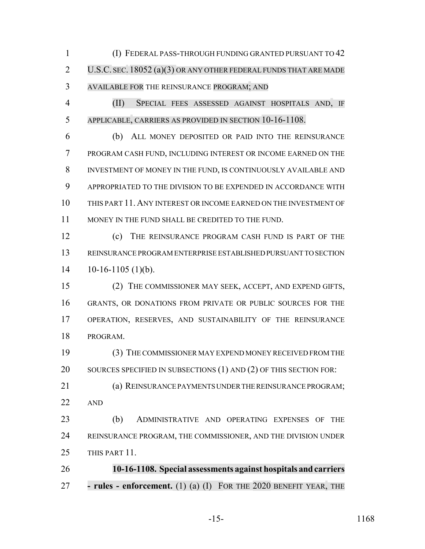(I) FEDERAL PASS-THROUGH FUNDING GRANTED PURSUANT TO 42 2 U.S.C. SEC. 18052 (a)(3) OR ANY OTHER FEDERAL FUNDS THAT ARE MADE AVAILABLE FOR THE REINSURANCE PROGRAM; AND

 (II) SPECIAL FEES ASSESSED AGAINST HOSPITALS AND, IF APPLICABLE, CARRIERS AS PROVIDED IN SECTION 10-16-1108.

 (b) ALL MONEY DEPOSITED OR PAID INTO THE REINSURANCE PROGRAM CASH FUND, INCLUDING INTEREST OR INCOME EARNED ON THE INVESTMENT OF MONEY IN THE FUND, IS CONTINUOUSLY AVAILABLE AND APPROPRIATED TO THE DIVISION TO BE EXPENDED IN ACCORDANCE WITH THIS PART 11. ANY INTEREST OR INCOME EARNED ON THE INVESTMENT OF MONEY IN THE FUND SHALL BE CREDITED TO THE FUND.

 (c) THE REINSURANCE PROGRAM CASH FUND IS PART OF THE REINSURANCE PROGRAM ENTERPRISE ESTABLISHED PURSUANT TO SECTION  $14 \quad 10-16-1105 \quad (1)(b).$ 

 (2) THE COMMISSIONER MAY SEEK, ACCEPT, AND EXPEND GIFTS, GRANTS, OR DONATIONS FROM PRIVATE OR PUBLIC SOURCES FOR THE OPERATION, RESERVES, AND SUSTAINABILITY OF THE REINSURANCE PROGRAM.

 (3) THE COMMISSIONER MAY EXPEND MONEY RECEIVED FROM THE 20 SOURCES SPECIFIED IN SUBSECTIONS (1) AND (2) OF THIS SECTION FOR:

 (a) REINSURANCE PAYMENTS UNDER THE REINSURANCE PROGRAM; AND

 (b) ADMINISTRATIVE AND OPERATING EXPENSES OF THE REINSURANCE PROGRAM, THE COMMISSIONER, AND THE DIVISION UNDER 25 THIS PART 11.

 **10-16-1108. Special assessments against hospitals and carriers - rules - enforcement.** (1) (a) (I) FOR THE 2020 BENEFIT YEAR, THE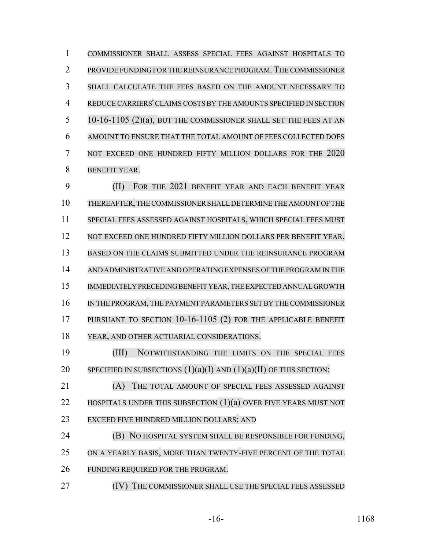COMMISSIONER SHALL ASSESS SPECIAL FEES AGAINST HOSPITALS TO PROVIDE FUNDING FOR THE REINSURANCE PROGRAM.THE COMMISSIONER SHALL CALCULATE THE FEES BASED ON THE AMOUNT NECESSARY TO REDUCE CARRIERS' CLAIMS COSTSBY THE AMOUNTS SPECIFIED IN SECTION 5 10-16-1105 (2)(a), BUT THE COMMISSIONER SHALL SET THE FEES AT AN AMOUNT TO ENSURE THAT THE TOTAL AMOUNT OF FEES COLLECTED DOES NOT EXCEED ONE HUNDRED FIFTY MILLION DOLLARS FOR THE 2020 BENEFIT YEAR.

 (II) FOR THE 2021 BENEFIT YEAR AND EACH BENEFIT YEAR THEREAFTER,THECOMMISSIONERSHALLDETERMINE THE AMOUNT OF THE SPECIAL FEES ASSESSED AGAINST HOSPITALS, WHICH SPECIAL FEES MUST 12 NOT EXCEED ONE HUNDRED FIFTY MILLION DOLLARS PER BENEFIT YEAR, BASED ON THE CLAIMS SUBMITTED UNDER THE REINSURANCE PROGRAM AND ADMINISTRATIVE AND OPERATING EXPENSES OF THE PROGRAM IN THE IMMEDIATELY PRECEDING BENEFIT YEAR, THE EXPECTED ANNUAL GROWTH IN THE PROGRAM, THE PAYMENT PARAMETERS SET BY THE COMMISSIONER PURSUANT TO SECTION 10-16-1105 (2) FOR THE APPLICABLE BENEFIT YEAR, AND OTHER ACTUARIAL CONSIDERATIONS.

 (III) NOTWITHSTANDING THE LIMITS ON THE SPECIAL FEES 20 SPECIFIED IN SUBSECTIONS  $(1)(a)(I)$  AND  $(1)(a)(II)$  OF THIS SECTION:

21 (A) THE TOTAL AMOUNT OF SPECIAL FEES ASSESSED AGAINST 22 HOSPITALS UNDER THIS SUBSECTION (1)(a) OVER FIVE YEARS MUST NOT 23 EXCEED FIVE HUNDRED MILLION DOLLARS; AND

- (B) NO HOSPITAL SYSTEM SHALL BE RESPONSIBLE FOR FUNDING,
- ON A YEARLY BASIS, MORE THAN TWENTY-FIVE PERCENT OF THE TOTAL
- FUNDING REQUIRED FOR THE PROGRAM.
- (IV) THE COMMISSIONER SHALL USE THE SPECIAL FEES ASSESSED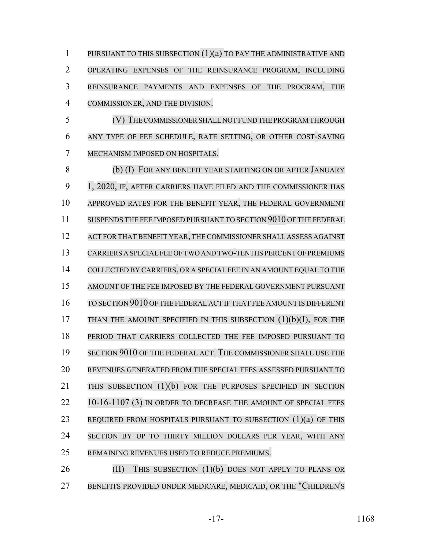PURSUANT TO THIS SUBSECTION (1)(a) TO PAY THE ADMINISTRATIVE AND OPERATING EXPENSES OF THE REINSURANCE PROGRAM, INCLUDING REINSURANCE PAYMENTS AND EXPENSES OF THE PROGRAM, THE COMMISSIONER, AND THE DIVISION.

 (V) THE COMMISSIONER SHALL NOT FUND THE PROGRAM THROUGH ANY TYPE OF FEE SCHEDULE, RATE SETTING, OR OTHER COST-SAVING MECHANISM IMPOSED ON HOSPITALS.

 (b) (I) FOR ANY BENEFIT YEAR STARTING ON OR AFTER JANUARY 1, 2020, IF, AFTER CARRIERS HAVE FILED AND THE COMMISSIONER HAS APPROVED RATES FOR THE BENEFIT YEAR, THE FEDERAL GOVERNMENT SUSPENDS THE FEE IMPOSED PURSUANT TO SECTION 9010 OF THE FEDERAL ACT FORTHAT BENEFIT YEAR, THE COMMISSIONERSHALL ASSESS AGAINST CARRIERS A SPECIALFEE OFTWO AND TWO-TENTHS PERCENT OF PREMIUMS COLLECTED BY CARRIERS, OR A SPECIAL FEE IN AN AMOUNT EQUAL TO THE AMOUNT OF THE FEE IMPOSED BY THE FEDERAL GOVERNMENT PURSUANT TO SECTION 9010 OF THE FEDERAL ACT IF THAT FEE AMOUNT IS DIFFERENT 17 THAN THE AMOUNT SPECIFIED IN THIS SUBSECTION  $(1)(b)(I)$ , FOR THE PERIOD THAT CARRIERS COLLECTED THE FEE IMPOSED PURSUANT TO SECTION 9010 OF THE FEDERAL ACT. THE COMMISSIONER SHALL USE THE REVENUES GENERATED FROM THE SPECIAL FEES ASSESSED PURSUANT TO THIS SUBSECTION (1)(b) FOR THE PURPOSES SPECIFIED IN SECTION 22 10-16-1107 (3) IN ORDER TO DECREASE THE AMOUNT OF SPECIAL FEES REQUIRED FROM HOSPITALS PURSUANT TO SUBSECTION (1)(a) OF THIS SECTION BY UP TO THIRTY MILLION DOLLARS PER YEAR, WITH ANY REMAINING REVENUES USED TO REDUCE PREMIUMS.

26 (II) THIS SUBSECTION (1)(b) DOES NOT APPLY TO PLANS OR BENEFITS PROVIDED UNDER MEDICARE, MEDICAID, OR THE "CHILDREN'S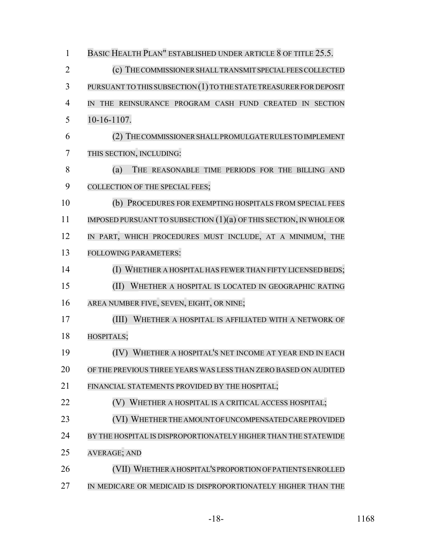| $\mathbf{1}$   | BASIC HEALTH PLAN" ESTABLISHED UNDER ARTICLE 8 OF TITLE 25.5.      |
|----------------|--------------------------------------------------------------------|
| $\overline{2}$ | (c) THE COMMISSIONER SHALL TRANSMIT SPECIAL FEES COLLECTED         |
| 3              | PURSUANT TO THIS SUBSECTION (1) TO THE STATE TREASURER FOR DEPOSIT |
| $\overline{4}$ | IN THE REINSURANCE PROGRAM CASH FUND CREATED IN SECTION            |
| 5              | 10-16-1107.                                                        |
| 6              | (2) THE COMMISSIONER SHALL PROMULGATE RULES TO IMPLEMENT           |
| $\overline{7}$ | THIS SECTION, INCLUDING:                                           |
| 8              | THE REASONABLE TIME PERIODS FOR THE BILLING AND<br>(a)             |
| 9              | COLLECTION OF THE SPECIAL FEES;                                    |
| 10             | (b) PROCEDURES FOR EXEMPTING HOSPITALS FROM SPECIAL FEES           |
| 11             | IMPOSED PURSUANT TO SUBSECTION (1)(a) OF THIS SECTION, IN WHOLE OR |
| 12             | IN PART, WHICH PROCEDURES MUST INCLUDE, AT A MINIMUM, THE          |
| 13             | <b>FOLLOWING PARAMETERS:</b>                                       |
| 14             | (I) WHETHER A HOSPITAL HAS FEWER THAN FIFTY LICENSED BEDS;         |
| 15             | WHETHER A HOSPITAL IS LOCATED IN GEOGRAPHIC RATING<br>(II)         |
| 16             | AREA NUMBER FIVE, SEVEN, EIGHT, OR NINE;                           |
| 17             | (III)<br>WHETHER A HOSPITAL IS AFFILIATED WITH A NETWORK OF        |
| 18             | HOSPITALS;                                                         |
| 19             | (IV) WHETHER A HOSPITAL'S NET INCOME AT YEAR END IN EACH           |
| 20             | OF THE PREVIOUS THREE YEARS WAS LESS THAN ZERO BASED ON AUDITED    |
| 21             | FINANCIAL STATEMENTS PROVIDED BY THE HOSPITAL;                     |
| 22             | (V) WHETHER A HOSPITAL IS A CRITICAL ACCESS HOSPITAL;              |
| 23             | (VI) WHETHER THE AMOUNT OF UNCOMPENSATED CARE PROVIDED             |
| 24             | BY THE HOSPITAL IS DISPROPORTIONATELY HIGHER THAN THE STATEWIDE    |
| 25             | <b>AVERAGE</b> , AND                                               |
| 26             | (VII) WHETHER A HOSPITAL'S PROPORTION OF PATIENTS ENROLLED         |
| 27             | IN MEDICARE OR MEDICAID IS DISPROPORTIONATELY HIGHER THAN THE      |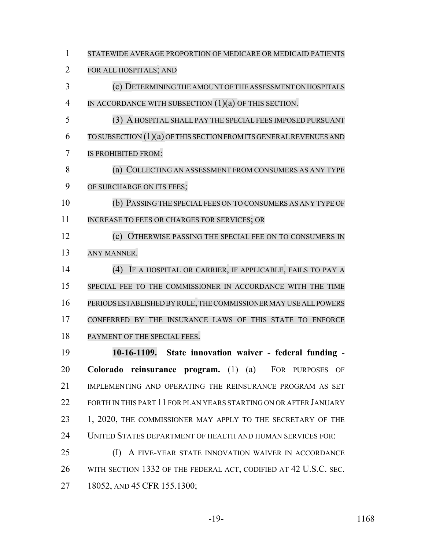- STATEWIDE AVERAGE PROPORTION OF MEDICARE OR MEDICAID PATIENTS
- FOR ALL HOSPITALS; AND
- (c) DETERMININGTHE AMOUNT OFTHE ASSESSMENT ON HOSPITALS
- IN ACCORDANCE WITH SUBSECTION (1)(a) OF THIS SECTION.
- (3) A HOSPITAL SHALL PAY THE SPECIAL FEES IMPOSED PURSUANT
- TOSUBSECTION (1)(a) OFTHIS SECTIONFROMITSGENERALREVENUESAND
- IS PROHIBITED FROM:
- 8 (a) COLLECTING AN ASSESSMENT FROM CONSUMERS AS ANY TYPE OF SURCHARGE ON ITS FEES;
- (b) PASSING THE SPECIAL FEES ON TO CONSUMERS AS ANY TYPE OF INCREASE TO FEES OR CHARGES FOR SERVICES; OR
- (c) OTHERWISE PASSING THE SPECIAL FEE ON TO CONSUMERS IN ANY MANNER.
- (4) IF A HOSPITAL OR CARRIER, IF APPLICABLE, FAILS TO PAY A SPECIAL FEE TO THE COMMISSIONER IN ACCORDANCE WITH THE TIME PERIODS ESTABLISHED BY RULE,THECOMMISSIONERMAY USE ALL POWERS CONFERRED BY THE INSURANCE LAWS OF THIS STATE TO ENFORCE 18 PAYMENT OF THE SPECIAL FEES.
- **10-16-1109. State innovation waiver federal funding - Colorado reinsurance program.** (1) (a) FOR PURPOSES OF IMPLEMENTING AND OPERATING THE REINSURANCE PROGRAM AS SET FORTH IN THIS PART 11 FOR PLAN YEARS STARTING ON OR AFTER JANUARY 23 1, 2020, THE COMMISSIONER MAY APPLY TO THE SECRETARY OF THE UNITED STATES DEPARTMENT OF HEALTH AND HUMAN SERVICES FOR:
- (I) A FIVE-YEAR STATE INNOVATION WAIVER IN ACCORDANCE WITH SECTION 1332 OF THE FEDERAL ACT, CODIFIED AT 42 U.S.C. SEC. 18052, AND 45 CFR 155.1300;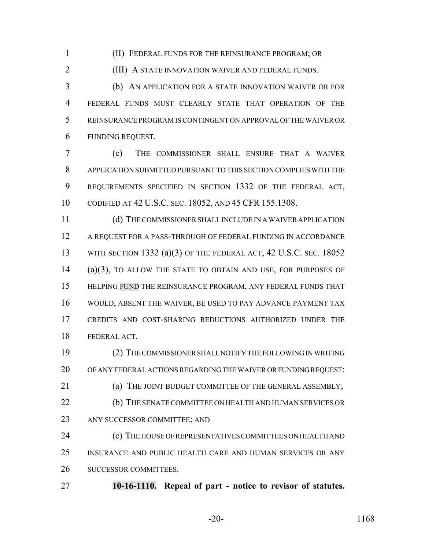(II) FEDERAL FUNDS FOR THE REINSURANCE PROGRAM; OR

(III) A STATE INNOVATION WAIVER AND FEDERAL FUNDS.

 (b) AN APPLICATION FOR A STATE INNOVATION WAIVER OR FOR FEDERAL FUNDS MUST CLEARLY STATE THAT OPERATION OF THE REINSURANCE PROGRAM IS CONTINGENT ON APPROVAL OF THE WAIVER OR FUNDING REQUEST.

 (c) THE COMMISSIONER SHALL ENSURE THAT A WAIVER APPLICATION SUBMITTED PURSUANT TO THIS SECTION COMPLIES WITH THE REQUIREMENTS SPECIFIED IN SECTION 1332 OF THE FEDERAL ACT, CODIFIED AT 42 U.S.C. SEC. 18052, AND 45 CFR 155.1308.

 (d) THE COMMISSIONER SHALL INCLUDE IN A WAIVER APPLICATION A REQUEST FOR A PASS-THROUGH OF FEDERAL FUNDING IN ACCORDANCE WITH SECTION 1332 (a)(3) OF THE FEDERAL ACT, 42 U.S.C. SEC. 18052 (a)(3), TO ALLOW THE STATE TO OBTAIN AND USE, FOR PURPOSES OF 15 HELPING FUND THE REINSURANCE PROGRAM, ANY FEDERAL FUNDS THAT WOULD, ABSENT THE WAIVER, BE USED TO PAY ADVANCE PAYMENT TAX CREDITS AND COST-SHARING REDUCTIONS AUTHORIZED UNDER THE FEDERAL ACT.

 (2) THE COMMISSIONER SHALL NOTIFY THE FOLLOWING IN WRITING OF ANY FEDERAL ACTIONS REGARDING THE WAIVER OR FUNDING REQUEST: **(a) THE JOINT BUDGET COMMITTEE OF THE GENERAL ASSEMBLY;** (b) THE SENATE COMMITTEE ON HEALTH AND HUMAN SERVICES OR

ANY SUCCESSOR COMMITTEE; AND

**(c)** THE HOUSE OF REPRESENTATIVES COMMITTEES ON HEALTH AND INSURANCE AND PUBLIC HEALTH CARE AND HUMAN SERVICES OR ANY SUCCESSOR COMMITTEES.

**10-16-1110. Repeal of part - notice to revisor of statutes.**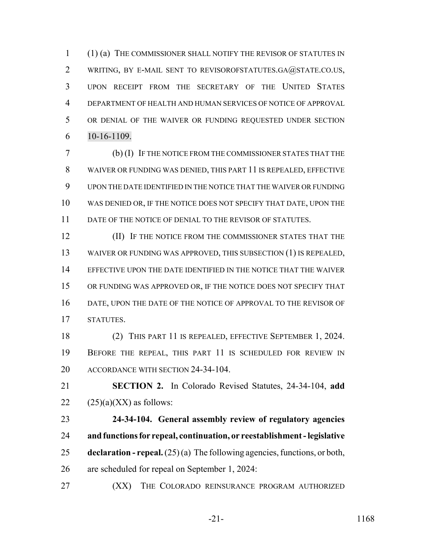(1) (a) THE COMMISSIONER SHALL NOTIFY THE REVISOR OF STATUTES IN 2 WRITING, BY E-MAIL SENT TO REVISOROFSTATUTES.GA@STATE.CO.US, UPON RECEIPT FROM THE SECRETARY OF THE UNITED STATES DEPARTMENT OF HEALTH AND HUMAN SERVICES OF NOTICE OF APPROVAL OR DENIAL OF THE WAIVER OR FUNDING REQUESTED UNDER SECTION 10-16-1109.

 (b) (I) IF THE NOTICE FROM THE COMMISSIONER STATES THAT THE WAIVER OR FUNDING WAS DENIED, THIS PART 11 IS REPEALED, EFFECTIVE UPON THE DATE IDENTIFIED IN THE NOTICE THAT THE WAIVER OR FUNDING WAS DENIED OR, IF THE NOTICE DOES NOT SPECIFY THAT DATE, UPON THE 11 DATE OF THE NOTICE OF DENIAL TO THE REVISOR OF STATUTES.

**(II)** IF THE NOTICE FROM THE COMMISSIONER STATES THAT THE WAIVER OR FUNDING WAS APPROVED, THIS SUBSECTION (1) IS REPEALED, EFFECTIVE UPON THE DATE IDENTIFIED IN THE NOTICE THAT THE WAIVER OR FUNDING WAS APPROVED OR, IF THE NOTICE DOES NOT SPECIFY THAT DATE, UPON THE DATE OF THE NOTICE OF APPROVAL TO THE REVISOR OF STATUTES.

 (2) THIS PART 11 IS REPEALED, EFFECTIVE SEPTEMBER 1, 2024. BEFORE THE REPEAL, THIS PART 11 IS SCHEDULED FOR REVIEW IN 20 ACCORDANCE WITH SECTION 24-34-104.

 **SECTION 2.** In Colorado Revised Statutes, 24-34-104, **add**  $22 \qquad (25)(a)(XX)$  as follows:

 **24-34-104. General assembly review of regulatory agencies and functions for repeal, continuation, or reestablishment - legislative declaration - repeal.** (25) (a) The following agencies, functions, or both, are scheduled for repeal on September 1, 2024:

**(XX)** THE COLORADO REINSURANCE PROGRAM AUTHORIZED